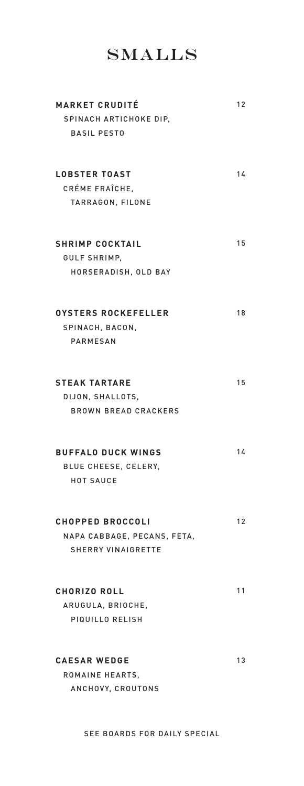## **SMALLS**

| <b>MARKET CRUDITÉ</b><br>SPINACH ARTICHOKE DIP.<br><b>BASIL PESTO</b>               | 12 |
|-------------------------------------------------------------------------------------|----|
| <b>LOBSTER TOAST</b><br>CRÉME FRAÎCHE.<br>TARRAGON, FILONE                          | 14 |
| <b>SHRIMP COCKTAIL</b><br>GULF SHRIMP,<br>HORSERADISH, OLD BAY                      | 15 |
| <b>OYSTERS ROCKEFELLER</b><br>SPINACH, BACON,<br><b>PARMESAN</b>                    | 18 |
| <b>STEAK TARTARE</b><br>DIJON, SHALLOTS,<br><b>BROWN BREAD CRACKERS</b>             | 15 |
| <b>BUFFALO DUCK WINGS</b><br>BLUE CHEESE, CELERY,<br><b>HOT SAUCE</b>               | 14 |
| <b>CHOPPED BROCCOLI</b><br>NAPA CABBAGE, PECANS, FETA,<br><b>SHERRY VINAIGRETTE</b> | 12 |
| <b>CHORIZO ROLL</b><br>ARUGULA, BRIOCHE,<br>PIQUILLO RELISH                         | 11 |
| <b>CAESAR WEDGE</b><br>ROMAINE HEARTS.<br>ANCHOVY, CROUTONS                         | 13 |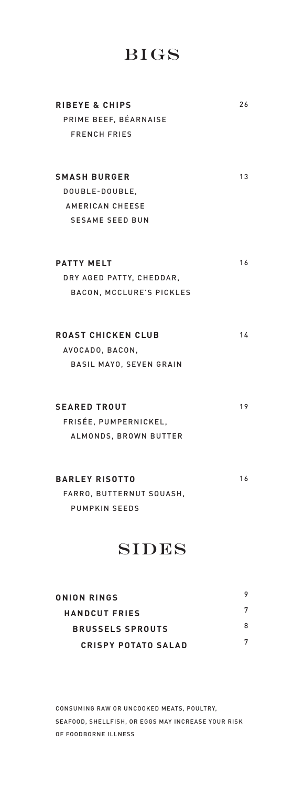## Bigs

| <b>RIBEYE &amp; CHIPS</b> | 26 |
|---------------------------|----|
| PRIME BEEF, BÉARNAISE     |    |
| <b>FRENCH FRIES</b>       |    |
|                           |    |
| <b>SMASH BURGER</b>       | 13 |
| DOUBLE-DOUBLE,            |    |
| <b>AMERICAN CHEESE</b>    |    |
| <b>SESAME SEED BUN</b>    |    |
|                           |    |
| <b>PATTY MELT</b>         | 16 |
| DRY AGED PATTY, CHEDDAR,  |    |
| BACON, MCCLURE'S PICKLES  |    |
|                           |    |
| <b>ROAST CHICKEN CLUB</b> | 14 |
| AVOCADO, BACON,           |    |
| BASIL MAYO, SEVEN GRAIN   |    |
| <b>SEARED TROUT</b>       | 19 |
| FRISÉE, PUMPERNICKEL,     |    |
| ALMONDS, BROWN BUTTER     |    |
|                           |    |
| <b>BARLEY RISOTTO</b>     | 16 |
| FARRO, BUTTERNUT SQUASH,  |    |
| <b>PUMPKIN SEEDS</b>      |    |
|                           |    |

## **SIDES**

| ONION RINGS                |   |
|----------------------------|---|
| <b>HANDCUT FRIES</b>       |   |
| <b>BRUSSELS SPROUTS</b>    | 8 |
| <b>CRISPY POTATO SALAD</b> | 7 |

CONSUMING RAW OR UNCOOKED MEATS, POULTRY, SEAFOOD, SHELLFISH, OR EGGS MAY INCREASE YOUR RISK OF FOODBORNE ILLNESS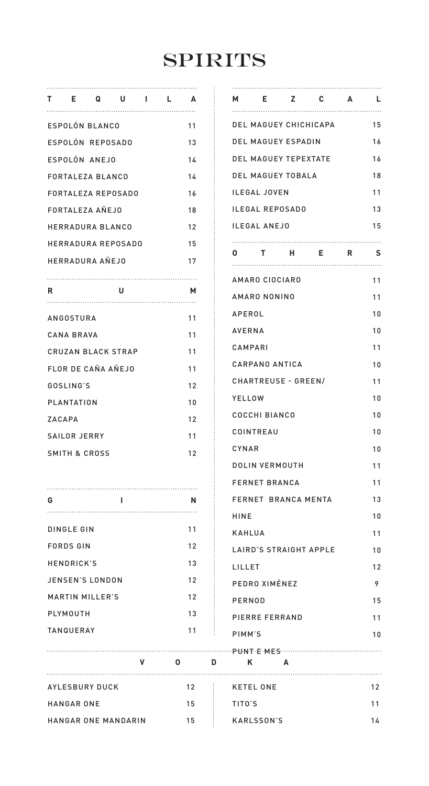# **SPIRITS**

|   |                          | TE QUIL                   |   |   | <b>A</b>        |    | м                   | <br>-E              |   |
|---|--------------------------|---------------------------|---|---|-----------------|----|---------------------|---------------------|---|
|   | ESPOLON BLANCO           |                           |   |   | 11              |    |                     | DEL MAGUEY (        |   |
|   |                          | ESPOLÓN REPOSADO          |   |   | 13              |    |                     | <b>DEL MAGUEY E</b> |   |
|   | ESPOLON ANEJO            |                           |   |   | 14              |    |                     | <b>DEL MAGUEY 1</b> |   |
|   | FORTALEZA BLANCO         |                           |   |   | 14              |    |                     | <b>DEL MAGUEY 1</b> |   |
|   |                          | <b>FORTALEZA REPOSADO</b> |   |   | 16              |    |                     | <b>ILEGAL JOVEN</b> |   |
|   | FORTALEZA ANEJO          |                           |   |   | 18              |    |                     | <b>ILEGAL REPOS</b> |   |
|   | HERRADURA BLANCO         |                           |   |   | 12              |    | <b>ILEGAL ANEJO</b> |                     |   |
|   |                          | HERRADURA REPOSADO        |   |   | 15              |    |                     |                     |   |
|   | <b>HERRADURA ANEJO</b>   |                           |   |   | 17              |    | $\mathbf{0}$        | $\mathbf{T}$<br>    |   |
|   |                          |                           |   |   |                 |    |                     | AMARO CIOCIA        |   |
| R |                          | U                         |   |   | м               |    |                     | AMARO NONIN         |   |
|   | ANGOSTURA                |                           |   |   | 11              |    | APEROL              |                     |   |
|   | CANA BRAVA               |                           |   |   | 11              |    | <b>AVERNA</b>       |                     |   |
|   |                          | <b>CRUZAN BLACK STRAP</b> |   |   | 11              |    | CAMPARI             |                     |   |
|   |                          | <b>FLOR DE CANA ANEJO</b> |   |   | 11              |    |                     | <b>CARPANO ANT</b>  |   |
|   | GOSLING'S                |                           |   |   | 12              |    |                     | CHARTREUSE          |   |
|   | PLANTATION               |                           |   |   | 10              |    | YELLOW              |                     |   |
|   | ZACAPA                   |                           |   |   | 12              |    |                     | <b>COCCHI BIANC</b> |   |
|   | SAILOR JERRY             |                           |   |   | 11              |    |                     | COINTREAU           |   |
|   | <b>SMITH &amp; CROSS</b> |                           |   |   | 12              |    | CYNAR               |                     |   |
|   |                          |                           |   |   |                 |    |                     | DOLIN VERMO         |   |
|   |                          |                           |   |   |                 |    |                     | <b>FERNET BRAN</b>  |   |
| G |                          | L                         |   |   | N               |    |                     | <b>FERNET BRAN</b>  |   |
|   |                          |                           |   |   |                 |    | HINE                |                     |   |
|   | <b>DINGLE GIN</b>        |                           |   |   | 11              |    | <b>KAHLUA</b>       |                     |   |
|   | <b>FORDS GIN</b>         |                           |   |   | 12              |    |                     | LAIRD'S STRAI       |   |
|   | <b>HENDRICK'S</b>        |                           |   |   | 13              |    | LILLET              |                     |   |
|   | JENSEN'S LONDON          |                           |   |   | 12              |    |                     | PEDRO XIMÉN         |   |
|   | <b>MARTIN MILLER'S</b>   |                           |   |   | 12              |    | PERNOD              |                     |   |
|   | PLYMOUTH                 |                           |   |   | 13              |    |                     | PIERRE FERRA        |   |
|   | <b>TANQUERAY</b>         |                           |   |   | 11              |    | PIMM'S              |                     |   |
|   |                          |                           |   |   |                 |    |                     |                     |   |
|   |                          |                           | v | 0 |                 | D  | Κ                   |                     | Α |
|   | AYLESBURY DUCK           |                           |   |   | 12 <sup>2</sup> | Ð, |                     | <b>KETEL ONE</b>    |   |

HANGAR ONE

HANGAR ONE MANDARIN

| м             |                      |                      | E Z C A L              |          |               |
|---------------|----------------------|----------------------|------------------------|----------|---------------|
|               |                      |                      | DEL MAGUEY CHICHICAPA  |          | 15            |
|               |                      | DEL MAGUEY ESPADIN   |                        |          | 16            |
|               |                      | DEL MAGUEY TEPEXTATE |                        |          | 16            |
|               |                      | DEL MAGUEY TOBALA    |                        |          | 18            |
|               | <b>ILEGAL JOVEN</b>  |                      |                        |          | 11            |
|               |                      | ILEGAL REPOSADO      |                        |          | 13            |
|               | ILEGAL ANEJO         |                      |                        |          | 15            |
| 0             | T.                   | Н.                   | E.                     | <b>R</b> | .<br><u>s</u> |
|               | AMARO CIOCIARO       |                      |                        |          | 11            |
|               | AMARO NONINO         |                      |                        |          | 11            |
| APEROL        |                      |                      |                        |          | 10            |
| <b>AVERNA</b> |                      |                      |                        |          | 10            |
| CAMPARI       |                      |                      |                        |          | 11            |
|               | CARPANO ANTICA       |                      |                        |          | 10            |
|               |                      | CHARTREUSE - GREEN/  |                        |          | 11            |
| YELLOW        |                      |                      |                        |          | 10            |
|               | COCCHI BIANCO        |                      |                        |          | 10            |
|               | COINTREAU            |                      |                        |          | 10            |
| CYNAR         |                      |                      |                        |          | 10            |
|               | DOLIN VERMOUTH       |                      |                        |          | 11            |
|               | <b>FERNET BRANCA</b> |                      |                        |          | 11            |
|               |                      | FERNET BRANCA MENTA  |                        |          | 13            |
| HINE          |                      |                      |                        |          | 10            |
| KAHLUA        |                      |                      |                        |          | 11            |
|               |                      |                      | LAIRD'S STRAIGHT APPLE |          | 10            |
| LILLET        |                      |                      |                        |          | 12            |
|               | PEDRO XIMÉNEZ        |                      |                        |          | 9             |
| PERNOD        |                      |                      |                        |          | 15            |
|               | PIERRE FERRAND       |                      |                        |          | 11            |
| PIMM'S        |                      |                      |                        |          | 10            |
| Κ             |                      | A                    |                        |          |               |
|               | <b>KETEL ONE</b>     |                      |                        |          | 12            |
|               |                      |                      |                        |          |               |

TITO'S

15 15

KARLSSON'S

11 14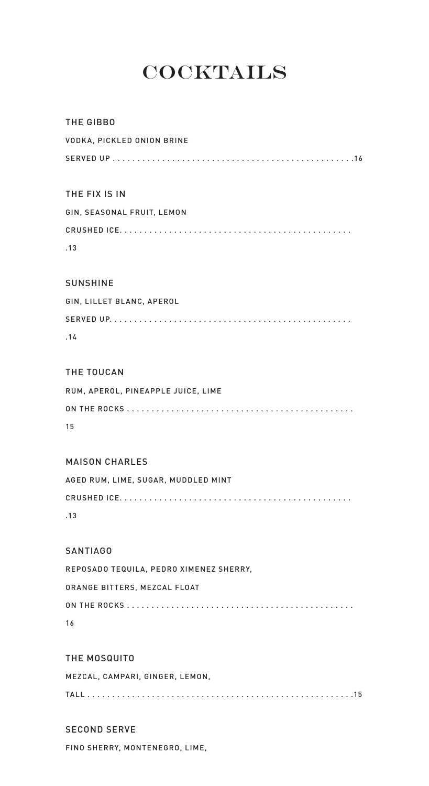# **COCKTAILS**

| THE GIBBO                               |
|-----------------------------------------|
| VODKA, PICKLED ONION BRINE              |
|                                         |
|                                         |
| THE FIX IS IN                           |
| GIN, SEASONAL FRUIT, LEMON              |
|                                         |
| .13                                     |
|                                         |
| SUNSHINE                                |
| GIN, LILLET BLANC, APEROL               |
|                                         |
| .14                                     |
| THE TOUCAN                              |
| RUM, APEROL, PINEAPPLE JUICE, LIME      |
|                                         |
| 15                                      |
| <b>MAISON CHARLES</b>                   |
|                                         |
| AGED RUM, LIME, SUGAR, MUDDLED MINT     |
| .13                                     |
|                                         |
| <b>SANTIAGO</b>                         |
| REPOSADO TEQUILA, PEDRO XIMENEZ SHERRY, |
| ORANGE BITTERS, MEZCAL FLOAT            |
|                                         |
| 16                                      |
| THE MOSQUITO                            |
| MEZCAL, CAMPARI, GINGER, LEMON,         |
|                                         |
| <b>SECOND SERVE</b>                     |

FINO SHERRY, MONTENEGRO, LIME,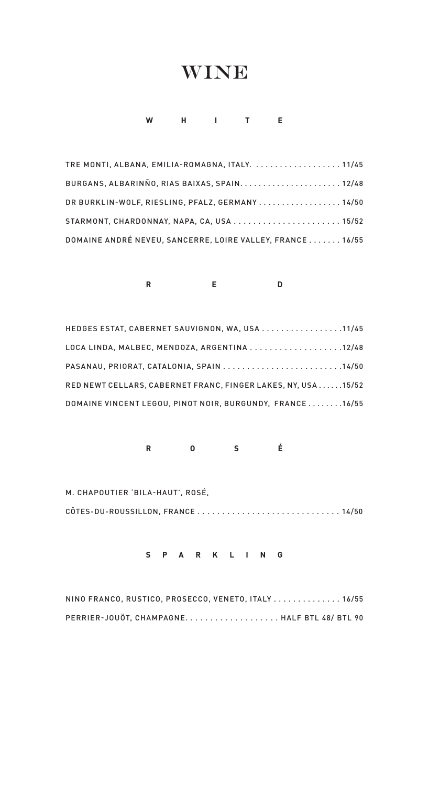## **WINE**

## **WHITE**

TRE MONTI, ALBANA, EMILIA-ROMAGNA, ITALY. . . . . . . . . . . . . . . . . . . 11/45 BURGANS, ALBARINÑO, RIAS BAIXAS, SPAIN. . . . . . . . . . . . . . . . . . . . . . 12/48 DR BURKLIN-WOLF, RIESLING, PFALZ, GERMANY . . . . . . . . . . . . . . . . 14/50 STARMONT, CHARDONNAY, NAPA, CA, USA . . . . . . . . . . . . . . . . . . . . . . 15/52 DOMAINE ANDRÉ NEVEU, SANCERRE, LOIRE VALLEY, FRANCE . . . . . . . 16/55

## **RED**

| HEDGES ESTAT, CABERNET SAUVIGNON, WA, USA 11/45              |
|--------------------------------------------------------------|
| LOCA LINDA, MALBEC, MENDOZA, ARGENTINA 12/48                 |
| PASANAU, PRIORAT, CATALONIA, SPAIN 14/50                     |
| RED NEWT CELLARS. CABERNET FRANC. FINGER LAKES. NY. USA15/52 |
| DOMAINE VINCENT LEGOU. PINOT NOIR. BURGUNDY. FRANCE16/55     |

**ROS É**

M. CHAPOUTIER 'BILA-HAUT', ROSÉ, CÔTES-DU-ROUSSILLON, FRANCE . . . . . . . . . . . . . . . . . . . . . . . . . . . . . 14/50

### **SPARKLING**

| NINO FRANCO, RUSTICO, PROSECCO, VENETO, ITALY, , , ,  16/55 |  |
|-------------------------------------------------------------|--|
| PERRIER-JOUÖT. CHAMPAGNEHALF BTL 48/ BTL 90                 |  |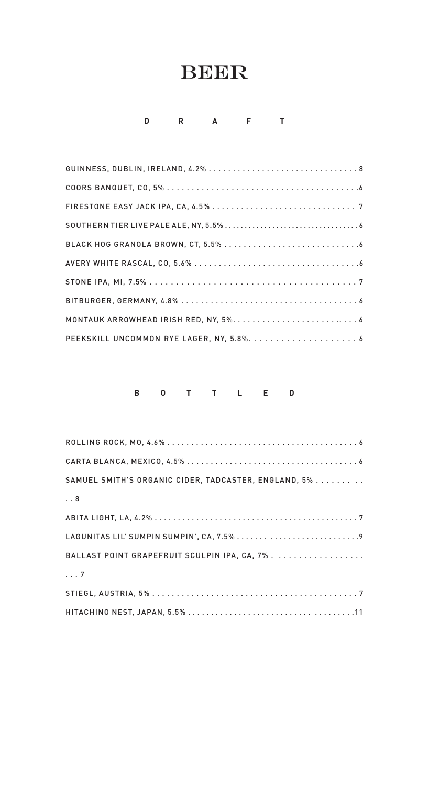## **BEER**

## **DRAFT**

## **BOTTLED**

| SAMUEL SMITH'S ORGANIC CIDER, TADCASTER, ENGLAND, 5% |
|------------------------------------------------------|
| $\ldots 8$                                           |
|                                                      |
|                                                      |
| BALLAST POINT GRAPEFRUIT SCULPIN IPA, CA, 7%.        |
| $\ldots 7$                                           |
|                                                      |
|                                                      |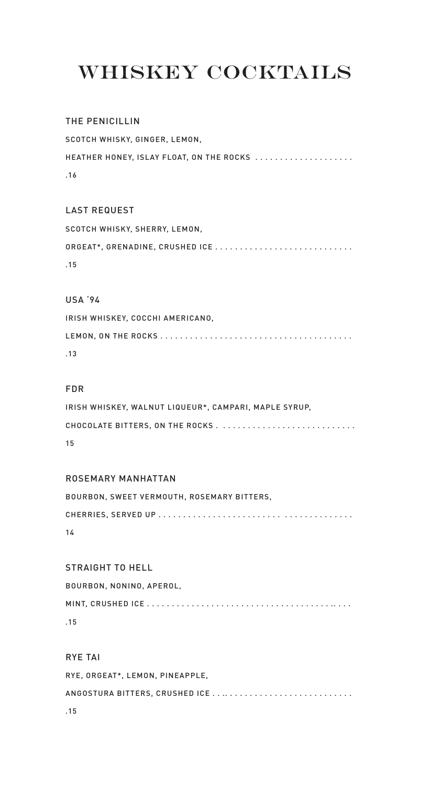# Whiskey Cocktails

### THE PENICILLIN

SCOTCH WHISKY, GINGER, LEMON, HEATHER HONEY, ISLAY FLOAT, ON THE ROCKS ..................... .16

### LAST REQUEST

SCOTCH WHISKY, SHERRY, LEMON, ORGEAT\*, GRENADINE, CRUSHED ICE . . . . . . . . . . . . . . . . . . . . . . . . . . . . .15

### USA '94

IRISH WHISKEY, COCCHI AMERICANO, LEMON, ON THE ROCKS . . . . . . . . . . . . . . . . . . . . . . . . . . . . . . . . . . . . . . . .13

### FDR

| IRISH WHISKEY. WALNUT LIQUEUR*. CAMPARI. MAPLE SYRUP. |
|-------------------------------------------------------|
|                                                       |
| 15                                                    |

### ROSEMARY MANHATTAN

| BOURBON, SWEET VERMOUTH, ROSEMARY BITTERS. |
|--------------------------------------------|
|                                            |
| 14                                         |

#### STRAIGHT TO HELL

BOURBON, NONINO, APEROL, MINT, CRUSHED ICE . . . . . . . . . . . . . . . . . . . . . . . . . . . . . . . . . . . . . .. . . . .15

### RYE TAI

RYE, ORGEAT\*, LEMON, PINEAPPLE, ANGOSTURA BITTERS, CRUSHED ICE . . .. . . . . . . . . . . . . . . . . . . . . . . . . . .15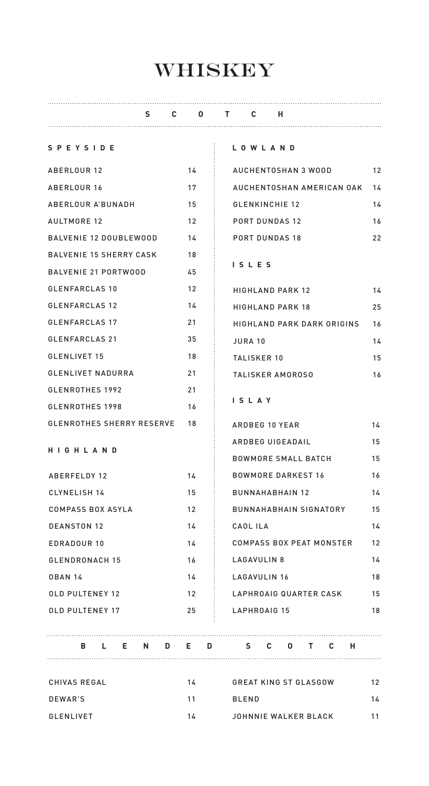# **WHISKEY**

| S.                               | C.                | $\mathbf{0}$ | т с н                             |                               |  |  |  |    |    |    |  |    |
|----------------------------------|-------------------|--------------|-----------------------------------|-------------------------------|--|--|--|----|----|----|--|----|
| <b>SPEYSIDE</b>                  |                   |              |                                   | LOWLAND                       |  |  |  |    |    |    |  |    |
| ABERLOUR 12                      | 14                |              |                                   | AUCHENTOSHAN 3 WOOD           |  |  |  |    |    |    |  | 12 |
| <b>ABERLOUR 16</b>               | 17                |              |                                   | AUCHENTOSHAN AMERICAN OAK     |  |  |  |    |    |    |  | 14 |
| ABERLOUR A'BUNADH                | 15                |              |                                   | <b>GLENKINCHIE 12</b>         |  |  |  |    |    |    |  | 14 |
| <b>AULTMORE 12</b>               | $12 \overline{ }$ |              |                                   | <b>PORT DUNDAS 12</b>         |  |  |  |    |    |    |  | 16 |
| <b>BALVENIE 12 DOUBLEWOOD</b>    | 14                |              |                                   | <b>PORT DUNDAS 18</b>         |  |  |  |    |    |    |  | 22 |
| <b>BALVENIE 15 SHERRY CASK</b>   | 18                |              |                                   |                               |  |  |  |    |    |    |  |    |
| <b>BALVENIE 21 PORTWOOD</b>      | 45                |              |                                   | ISLES                         |  |  |  |    |    |    |  |    |
| <b>GLENFARCLAS 10</b>            | $12 \overline{ }$ |              |                                   | <b>HIGHLAND PARK 12</b>       |  |  |  |    |    |    |  | 14 |
| <b>GLENFARCLAS 12</b>            | 14                |              |                                   | <b>HIGHLAND PARK 18</b>       |  |  |  |    |    |    |  | 25 |
| <b>GLENFARCLAS 17</b>            | 21                |              | <b>HIGHLAND PARK DARK ORIGINS</b> |                               |  |  |  |    |    | 16 |  |    |
| <b>GLENFARCLAS 21</b>            | 35                |              | <b>JURA 10</b>                    |                               |  |  |  |    |    | 14 |  |    |
| GLENLIVET 15                     | 18                |              |                                   | TALISKER 10                   |  |  |  |    |    |    |  | 15 |
| <b>GLENLIVET NADURRA</b>         | 21                |              | TALISKER AMOROSO                  |                               |  |  |  |    |    | 16 |  |    |
| <b>GLENROTHES 1992</b>           | 21                |              |                                   |                               |  |  |  |    |    |    |  |    |
| GLENROTHES 1998                  | 16                |              | ISLAY                             |                               |  |  |  |    |    |    |  |    |
| <b>GLENROTHES SHERRY RESERVE</b> | 18                |              |                                   | ARDBEG 10 YEAR                |  |  |  |    |    |    |  | 14 |
|                                  |                   |              |                                   | ARDBEG UIGEADAIL              |  |  |  |    |    |    |  | 15 |
| HIGHLAND                         |                   |              |                                   | <b>BOWMORE SMALL BATCH</b>    |  |  |  |    |    |    |  | 15 |
| ABERFELDY 12                     | 14                |              |                                   | <b>BOWMORE DARKEST 16</b>     |  |  |  |    |    |    |  | 16 |
| CLYNELISH 14                     | 15                |              |                                   | <b>BUNNAHABHAIN 12</b>        |  |  |  |    |    |    |  | 14 |
| <b>COMPASS BOX ASYLA</b>         | 12 <sup>2</sup>   |              |                                   | <b>BUNNAHABHAIN SIGNATORY</b> |  |  |  |    |    |    |  | 15 |
| <b>DEANSTON 12</b>               | 14                |              |                                   | CAOL ILA                      |  |  |  |    |    |    |  | 14 |
| <b>EDRADOUR 10</b>               | 14                |              |                                   | COMPASS BOX PEAT MONSTER      |  |  |  |    |    |    |  | 12 |
| <b>GLENDRONACH 15</b>            | 16                |              | LAGAVULIN 8                       |                               |  |  |  | 14 |    |    |  |    |
| <b>OBAN 14</b>                   | 14                |              | LAGAVULIN 16                      |                               |  |  |  |    | 18 |    |  |    |
| <b>OLD PULTENEY 12</b>           | 12                |              | LAPHROAIG QUARTER CASK            |                               |  |  |  |    | 15 |    |  |    |
| <b>OLD PULTENEY 17</b>           | 25                |              | LAPHROAIG 15                      |                               |  |  |  | 18 |    |    |  |    |
|                                  |                   |              |                                   |                               |  |  |  |    |    |    |  |    |
| B L E N D E D S C O T C H        |                   |              |                                   |                               |  |  |  |    |    |    |  |    |

CHIVAS REGAL 14 GREAT KING ST GLASGOW 12 DEWAR'S 11 BLEND 14 GLENLIVET 14 11 JOHNNIE WALKER BLACK